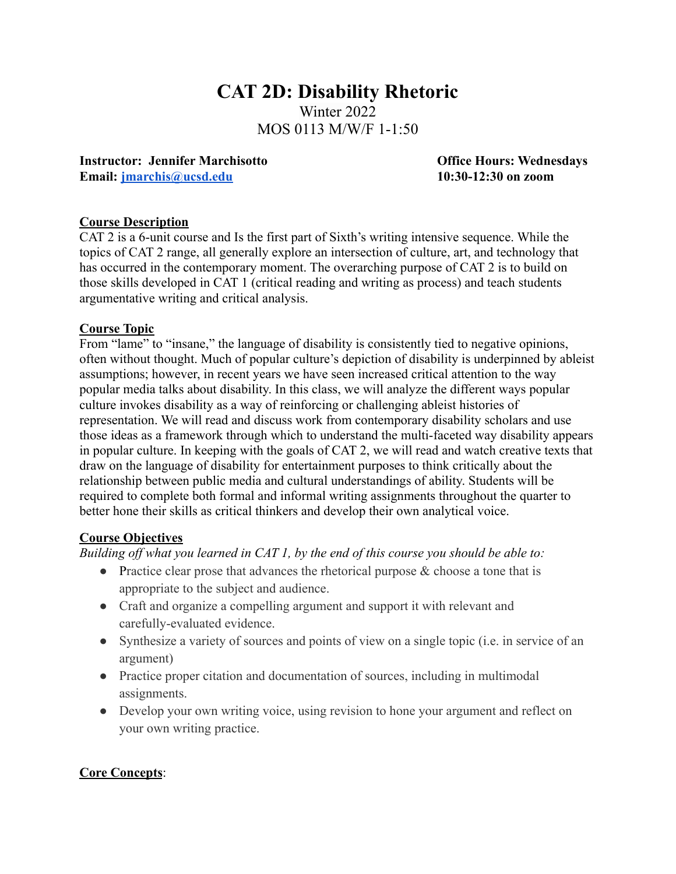# **CAT 2D: Disability Rhetoric** Winter 2022 MOS 0113 M/W/F 1-1:50

**Instructor: Jennifer Marchisotto Office Hours: Wednesdays Email: [jmarchis@ucsd.edu](mailto:jmarchis@ucsd.edu) 10:30-12:30 on zoom**

#### **Course Description**

CAT 2 is a 6-unit course and Is the first part of Sixth's writing intensive sequence. While the topics of CAT 2 range, all generally explore an intersection of culture, art, and technology that has occurred in the contemporary moment. The overarching purpose of CAT 2 is to build on those skills developed in CAT 1 (critical reading and writing as process) and teach students argumentative writing and critical analysis.

#### **Course Topic**

From "lame" to "insane," the language of disability is consistently tied to negative opinions, often without thought. Much of popular culture's depiction of disability is underpinned by ableist assumptions; however, in recent years we have seen increased critical attention to the way popular media talks about disability. In this class, we will analyze the different ways popular culture invokes disability as a way of reinforcing or challenging ableist histories of representation. We will read and discuss work from contemporary disability scholars and use those ideas as a framework through which to understand the multi-faceted way disability appears in popular culture. In keeping with the goals of CAT 2, we will read and watch creative texts that draw on the language of disability for entertainment purposes to think critically about the relationship between public media and cultural understandings of ability. Students will be required to complete both formal and informal writing assignments throughout the quarter to better hone their skills as critical thinkers and develop their own analytical voice.

#### **Course Objectives**

*Building off what you learned in CAT 1, by the end of this course you should be able to:*

- Practice clear prose that advances the rhetorical purpose  $\&$  choose a tone that is appropriate to the subject and audience.
- Craft and organize a compelling argument and support it with relevant and carefully-evaluated evidence.
- Synthesize a variety of sources and points of view on a single topic (i.e. in service of an argument)
- Practice proper citation and documentation of sources, including in multimodal assignments.
- Develop your own writing voice, using revision to hone your argument and reflect on your own writing practice.

### **Core Concepts**: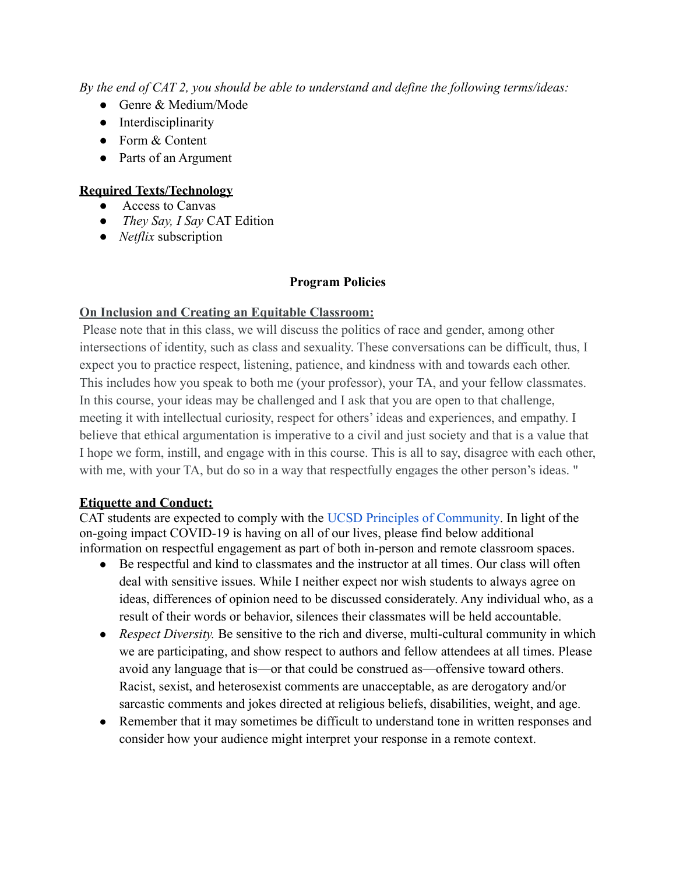*By the end of CAT 2, you should be able to understand and define the following terms/ideas:*

- Genre & Medium/Mode
- Interdisciplinarity
- Form & Content
- Parts of an Argument

# **Required Texts/Technology**

- Access to Canvas
- *They Say, I Say* CAT Edition
- *● Netflix* subscription

### **Program Policies**

### **On Inclusion and Creating an Equitable Classroom:**

Please note that in this class, we will discuss the politics of race and gender, among other intersections of identity, such as class and sexuality. These conversations can be difficult, thus, I expect you to practice respect, listening, patience, and kindness with and towards each other. This includes how you speak to both me (your professor), your TA, and your fellow classmates. In this course, your ideas may be challenged and I ask that you are open to that challenge, meeting it with intellectual curiosity, respect for others' ideas and experiences, and empathy. I believe that ethical argumentation is imperative to a civil and just society and that is a value that I hope we form, instill, and engage with in this course. This is all to say, disagree with each other, with me, with your TA, but do so in a way that respectfully engages the other person's ideas. "

### **Etiquette and Conduct:**

CAT students are expected to comply with the UCSD [Principles of Community.](https://ucsd.edu/about/principles.html) In light of the on-going impact COVID-19 is having on all of our lives, please find below additional information on respectful engagement as part of both in-person and remote classroom spaces.

- Be respectful and kind to classmates and the instructor at all times. Our class will often deal with sensitive issues. While I neither expect nor wish students to always agree on ideas, differences of opinion need to be discussed considerately. Any individual who, as a result of their words or behavior, silences their classmates will be held accountable.
- *Respect Diversity*. Be sensitive to the rich and diverse, multi-cultural community in which we are participating, and show respect to authors and fellow attendees at all times. Please avoid any language that is—or that could be construed as—offensive toward others. Racist, sexist, and heterosexist comments are unacceptable, as are derogatory and/or sarcastic comments and jokes directed at religious beliefs, disabilities, weight, and age.
- Remember that it may sometimes be difficult to understand tone in written responses and consider how your audience might interpret your response in a remote context.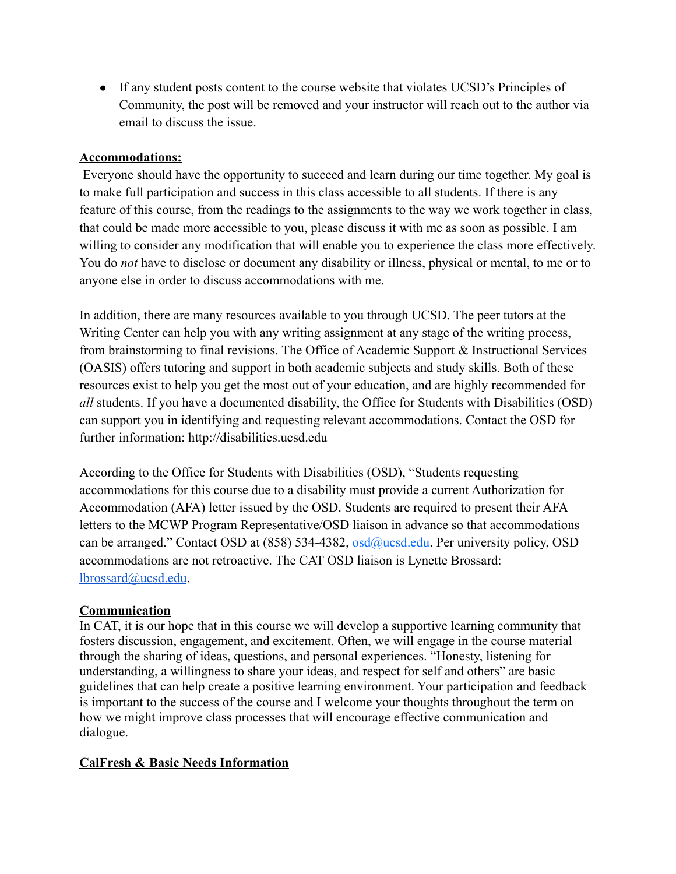• If any student posts content to the course website that violates UCSD's Principles of Community, the post will be removed and your instructor will reach out to the author via email to discuss the issue.

#### **Accommodations:**

Everyone should have the opportunity to succeed and learn during our time together. My goal is to make full participation and success in this class accessible to all students. If there is any feature of this course, from the readings to the assignments to the way we work together in class, that could be made more accessible to you, please discuss it with me as soon as possible. I am willing to consider any modification that will enable you to experience the class more effectively. You do *not* have to disclose or document any disability or illness, physical or mental, to me or to anyone else in order to discuss accommodations with me.

In addition, there are many resources available to you through UCSD. The peer tutors at the Writing Center can help you with any writing assignment at any stage of the writing process, from brainstorming to final revisions. The Office of Academic Support & Instructional Services (OASIS) offers tutoring and support in both academic subjects and study skills. Both of these resources exist to help you get the most out of your education, and are highly recommended for *all* students. If you have a documented disability, the Office for Students with Disabilities (OSD) can support you in identifying and requesting relevant accommodations. Contact the OSD for further information: http://disabilities.ucsd.edu

According to the Office for Students with Disabilities (OSD), "Students requesting accommodations for this course due to a disability must provide a current Authorization for Accommodation (AFA) letter issued by the OSD. Students are required to present their AFA letters to the MCWP Program Representative/OSD liaison in advance so that accommodations can be arranged." Contact OSD at (858) 534-4382, osd@ucsd.edu. Per university policy, OSD accommodations are not retroactive. The CAT OSD liaison is Lynette Brossard: [lbrossard@ucsd.edu](mailto:lbrossard@ucsd.edu).

### **Communication**

In CAT, it is our hope that in this course we will develop a supportive learning community that fosters discussion, engagement, and excitement. Often, we will engage in the course material through the sharing of ideas, questions, and personal experiences. "Honesty, listening for understanding, a willingness to share your ideas, and respect for self and others" are basic guidelines that can help create a positive learning environment. Your participation and feedback is important to the success of the course and I welcome your thoughts throughout the term on how we might improve class processes that will encourage effective communication and dialogue.

### **CalFresh & Basic Needs Information**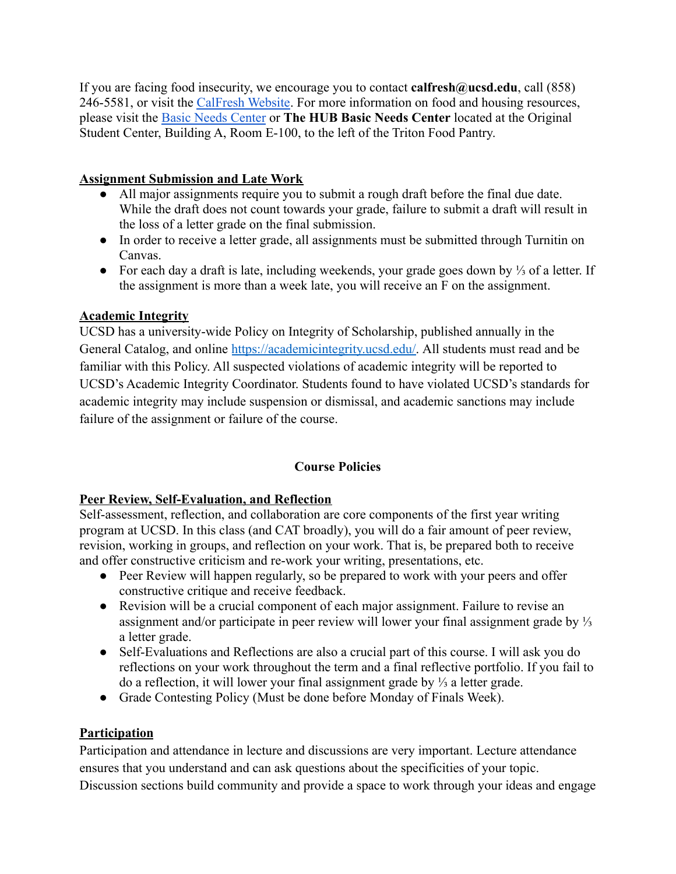If you are facing food insecurity, we encourage you to contact **calfresh@ucsd.edu**, call (858) 246-5581, or visit the [CalFresh Website](https://basicneeds.ucsd.edu/food-security/calfresh/index.html). For more information on food and housing resources, please visit the [Basic Needs Center](https://basicneeds.ucsd.edu/) or **The HUB Basic Needs Center** located at the Original Student Center, Building A, Room E-100, to the left of the Triton Food Pantry.

### **Assignment Submission and Late Work**

- All major assignments require you to submit a rough draft before the final due date. While the draft does not count towards your grade, failure to submit a draft will result in the loss of a letter grade on the final submission.
- In order to receive a letter grade, all assignments must be submitted through Turnitin on Canvas.
- For each day a draft is late, including weekends, your grade goes down by ⅓ of a letter. If the assignment is more than a week late, you will receive an F on the assignment.

### **Academic Integrity**

UCSD has a university-wide Policy on Integrity of Scholarship, published annually in the General Catalog, and online [https://academicintegrity.ucsd.edu/.](https://academicintegrity.ucsd.edu/) All students must read and be familiar with this Policy. All suspected violations of academic integrity will be reported to UCSD's Academic Integrity Coordinator. Students found to have violated UCSD's standards for academic integrity may include suspension or dismissal, and academic sanctions may include failure of the assignment or failure of the course.

# **Course Policies**

# **Peer Review, Self-Evaluation, and Reflection**

Self-assessment, reflection, and collaboration are core components of the first year writing program at UCSD. In this class (and CAT broadly), you will do a fair amount of peer review, revision, working in groups, and reflection on your work. That is, be prepared both to receive and offer constructive criticism and re-work your writing, presentations, etc.

- Peer Review will happen regularly, so be prepared to work with your peers and offer constructive critique and receive feedback.
- Revision will be a crucial component of each major assignment. Failure to revise an assignment and/or participate in peer review will lower your final assignment grade by ⅓ a letter grade.
- Self-Evaluations and Reflections are also a crucial part of this course. I will ask you do reflections on your work throughout the term and a final reflective portfolio. If you fail to do a reflection, it will lower your final assignment grade by ⅓ a letter grade.
- Grade Contesting Policy (Must be done before Monday of Finals Week).

# **Participation**

Participation and attendance in lecture and discussions are very important. Lecture attendance ensures that you understand and can ask questions about the specificities of your topic. Discussion sections build community and provide a space to work through your ideas and engage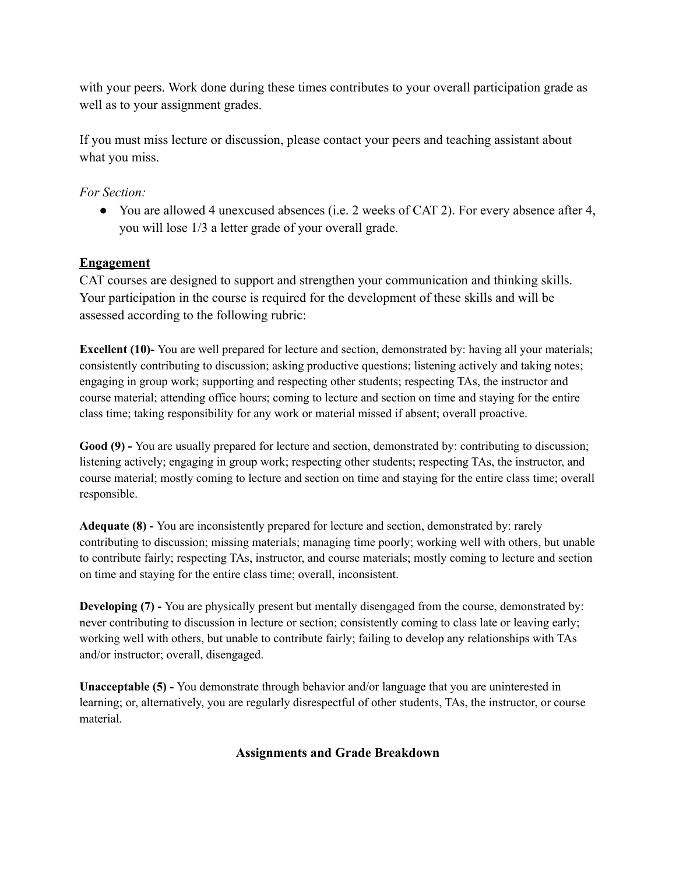with your peers. Work done during these times contributes to your overall participation grade as well as to your assignment grades.

If you must miss lecture or discussion, please contact your peers and teaching assistant about what you miss.

## *For Section:*

● You are allowed 4 unexcused absences (i.e. 2 weeks of CAT 2). For every absence after 4, you will lose 1/3 a letter grade of your overall grade.

# **Engagement**

CAT courses are designed to support and strengthen your communication and thinking skills. Your participation in the course is required for the development of these skills and will be assessed according to the following rubric:

**Excellent** (10)-You are well prepared for lecture and section, demonstrated by: having all your materials; consistently contributing to discussion; asking productive questions; listening actively and taking notes; engaging in group work; supporting and respecting other students; respecting TAs, the instructor and course material; attending office hours; coming to lecture and section on time and staying for the entire class time; taking responsibility for any work or material missed if absent; overall proactive.

**Good (9) -** You are usually prepared for lecture and section, demonstrated by: contributing to discussion; listening actively; engaging in group work; respecting other students; respecting TAs, the instructor, and course material; mostly coming to lecture and section on time and staying for the entire class time; overall responsible.

**Adequate (8) -** You are inconsistently prepared for lecture and section, demonstrated by: rarely contributing to discussion; missing materials; managing time poorly; working well with others, but unable to contribute fairly; respecting TAs, instructor, and course materials; mostly coming to lecture and section on time and staying for the entire class time; overall, inconsistent.

**Developing** (7) **-** You are physically present but mentally disengaged from the course, demonstrated by: never contributing to discussion in lecture or section; consistently coming to class late or leaving early; working well with others, but unable to contribute fairly; failing to develop any relationships with TAs and/or instructor; overall, disengaged.

**Unacceptable (5) -** You demonstrate through behavior and/or language that you are uninterested in learning; or, alternatively, you are regularly disrespectful of other students, TAs, the instructor, or course material.

# **Assignments and Grade Breakdown**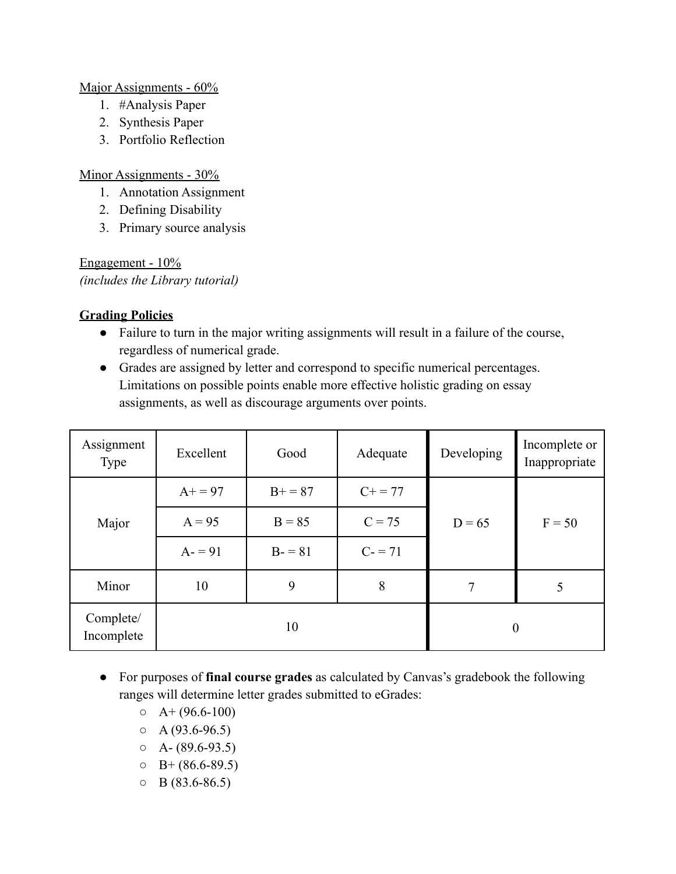### Major Assignments - 60%

- 1. #Analysis Paper
- 2. Synthesis Paper
- 3. Portfolio Reflection

### Minor Assignments - 30%

- 1. Annotation Assignment
- 2. Defining Disability
- 3. Primary source analysis

Engagement - 10% *(includes the Library tutorial)*

### **Grading Policies**

- Failure to turn in the major writing assignments will result in a failure of the course, regardless of numerical grade.
- Grades are assigned by letter and correspond to specific numerical percentages. Limitations on possible points enable more effective holistic grading on essay assignments, as well as discourage arguments over points.

| Assignment<br>Type      | Excellent | Good     | Adequate     | Developing | Incomplete or<br>Inappropriate |
|-------------------------|-----------|----------|--------------|------------|--------------------------------|
| Major                   | $A+ = 97$ | $B+=87$  | $C_{+} = 77$ |            | $F = 50$                       |
|                         | $A = 95$  | $B = 85$ | $C = 75$     | $D = 65$   |                                |
|                         | $A = 91$  | $B - 81$ | $C = 71$     |            |                                |
| Minor                   | 10        | 9        | 8            | 7          | 5                              |
| Complete/<br>Incomplete |           | 10       |              |            | $\boldsymbol{0}$               |

- For purposes of **final course grades** as calculated by Canvas's gradebook the following ranges will determine letter grades submitted to eGrades:
	- $O \left( A + (96.6 100) \right)$
	- $O \left( \frac{93.6 96.5}{2} \right)$
	- $O \left( A (89.6 93.5) \right)$
	- $O$  B+ (86.6-89.5)
	- $O$  B (83.6-86.5)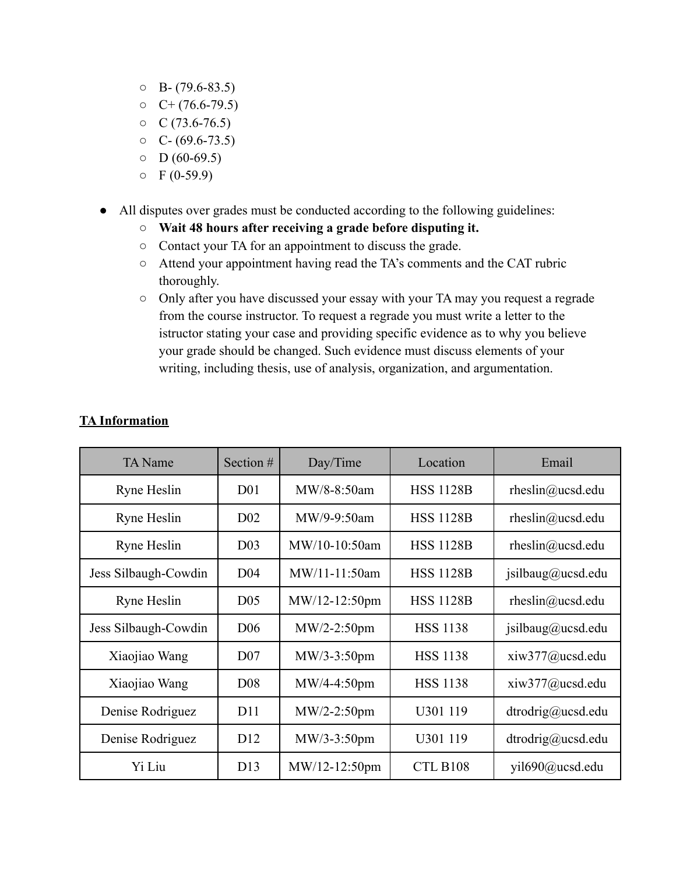- $O$  B- (79.6-83.5)
- $O \left( + (76.6 79.5) \right)$
- $\circ$  C (73.6-76.5)
- $O \quad C (69.6 73.5)$
- $O$  D (60-69.5)
- $O$  F (0-59.9)
- All disputes over grades must be conducted according to the following guidelines:
	- **○ Wait 48 hours after receiving a grade before disputing it.**
	- Contact your TA for an appointment to discuss the grade.
	- Attend your appointment having read the TA's comments and the CAT rubric thoroughly.
	- Only after you have discussed your essay with your TA may you request a regrade from the course instructor. To request a regrade you must write a letter to the istructor stating your case and providing specific evidence as to why you believe your grade should be changed. Such evidence must discuss elements of your writing, including thesis, use of analysis, organization, and argumentation.

| <b>TA</b> Name       | Section $#$     | Day/Time      | Location         | Email               |
|----------------------|-----------------|---------------|------------------|---------------------|
| Ryne Heslin          | D <sub>01</sub> | MW/8-8:50am   | <b>HSS 1128B</b> | rheslin@ucsd.edu    |
| Ryne Heslin          | D <sub>02</sub> | MW/9-9:50am   | <b>HSS 1128B</b> | rheslin@ucsd.edu    |
| Ryne Heslin          | D <sub>03</sub> | MW/10-10:50am | <b>HSS 1128B</b> | rheslin@ucsd.edu    |
| Jess Silbaugh-Cowdin | D <sub>04</sub> | MW/11-11:50am | <b>HSS 1128B</b> | jsilbaug@ucsd.edu   |
| Ryne Heslin          | D <sub>05</sub> | MW/12-12:50pm | <b>HSS 1128B</b> | rheslin@ucsd.edu    |
| Jess Silbaugh-Cowdin | D <sub>06</sub> | $MW/2-2:50pm$ | <b>HSS 1138</b>  | jsilbaug@ucsd.edu   |
| Xiaojiao Wang        | D <sub>07</sub> | $MW/3-3:50pm$ | <b>HSS 1138</b>  | $xi$ iw377@ucsd.edu |
| Xiaojiao Wang        | D <sub>08</sub> | $MW/4-4:50pm$ | <b>HSS 1138</b>  | $xiw377$ @ucsd.edu  |
| Denise Rodriguez     | D11             | $MW/2-2:50pm$ | U301 119         | dtrodrig@ucsd.edu   |
| Denise Rodriguez     | D <sub>12</sub> | $MW/3-3:50pm$ | U301 119         | dtrodrig@ucsd.edu   |
| Yi Liu               | D13             | MW/12-12:50pm | CTL B108         | yil $690$ @ucsd.edu |

# **TA Information**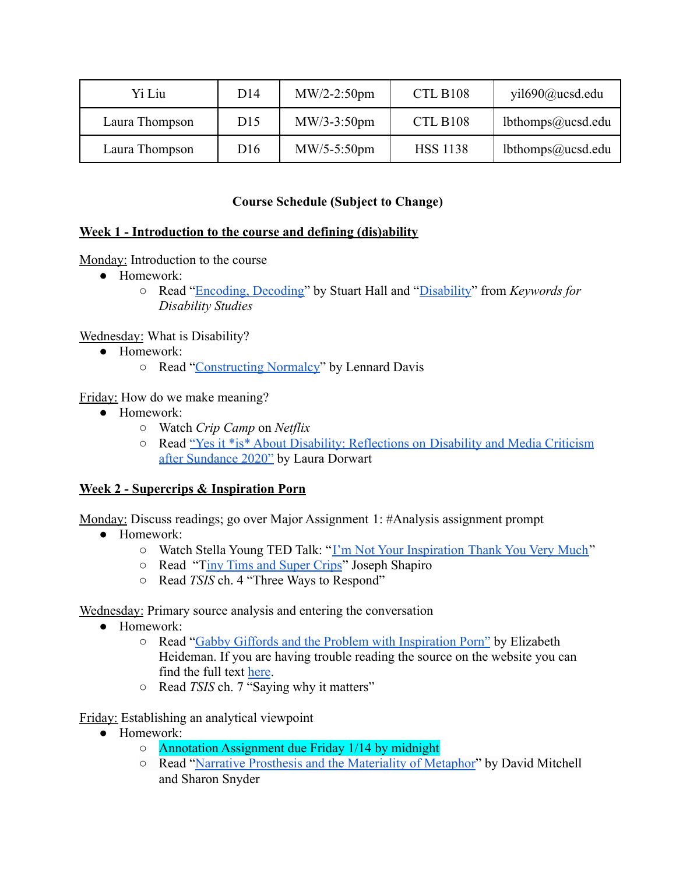| Yi Liu         | D <sub>14</sub> | $MW/2-2:50pm$ | <b>CTL B108</b> | yil690@ucsd.edu   |
|----------------|-----------------|---------------|-----------------|-------------------|
| Laura Thompson | D15             | $MW/3-3:50pm$ | CTL B108        | lbthomps@ucsd.edu |
| Laura Thompson | D <sub>16</sub> | $MW/5-5:50pm$ | <b>HSS 1138</b> | lbthomps@ucsd.edu |

### **Course Schedule (Subject to Change)**

### **Week 1 - Introduction to the course and defining (dis)ability**

### Monday: Introduction to the course

- Homework:
	- Read "[Encoding, Decoding"](https://drive.google.com/file/d/1tQCYgMKEjgkEv5C-DyIe76pssy3uu3sG/view?usp=sharing) by Stuart Hall and "[Disability](https://drive.google.com/file/d/13You8vZwwPR7r5zuQR5WKMydVnGCJdZW/view?usp=sharing)" from *Keywords for Disability Studies*

### Wednesday: What is Disability?

- Homework:
	- Read "[Constructing Normalcy"](https://drive.google.com/file/d/1RfZRZxdglzoIfERj0CRjADZ77PY1MVtX/view?usp=sharing) by Lennard Davis

### Friday: How do we make meaning?

- Homework:
	- *○* Watch *Crip Camp* on *Netflix*
	- Read ["Yes it \\*is\\* About Disability: Reflections on](https://disabilityvisibilityproject.com/2020/03/09/yes-it-is-about-disability-reflections-on-disability-and-media-criticism-after-sundance-2020/) Disability and Media Criticism [after Sundance 2020"](https://disabilityvisibilityproject.com/2020/03/09/yes-it-is-about-disability-reflections-on-disability-and-media-criticism-after-sundance-2020/) by Laura Dorwart

# **Week 2 - Supercrips & Inspiration Porn**

Monday: Discuss readings; go over Major Assignment 1: #Analysis assignment prompt

- Homework:
	- Watch Stella Young TED Talk: "[I'm Not Your Inspiration](https://www.ted.com/talks/stella_young_i_m_not_your_inspiration_thank_you_very_much?language=en) Thank You Very Much"
	- Read "[Tiny Tims and Super Crips](https://drive.google.com/file/d/1seG0Ks-0Rq1l-SmGA4BnxXzqTMOy6eAL/view?usp=sharing)" Joseph Shapiro
	- Read *TSIS* ch. 4 "Three Ways to Respond"

Wednesday: Primary source analysis and entering the conversation

- Homework:
	- Read "[Gabby Giffords and the Problem with Inspiration](https://www.thedailybeast.com/gabby-giffords-and-the-problem-with-inspiration-porn) Porn" by Elizabeth Heideman. If you are having trouble reading the source on the website you can find the full text [here](https://docs.google.com/document/d/1dM5C7bPdMRnz810actCkDF86TE-9cXzyiTZCwWDejAE/edit?usp=sharing).
	- Read *TSIS* ch. 7 "Saying why it matters"

Friday: Establishing an analytical viewpoint

- Homework:
	- Annotation Assignment due Friday 1/14 by midnight
	- Read "[Narrative Prosthesis and the Materiality of](https://drive.google.com/file/d/1anAIw-EgxFgHc7_0LegVvTYFQerQARWQ/view?usp=sharing) Metaphor" by David Mitchell and Sharon Snyder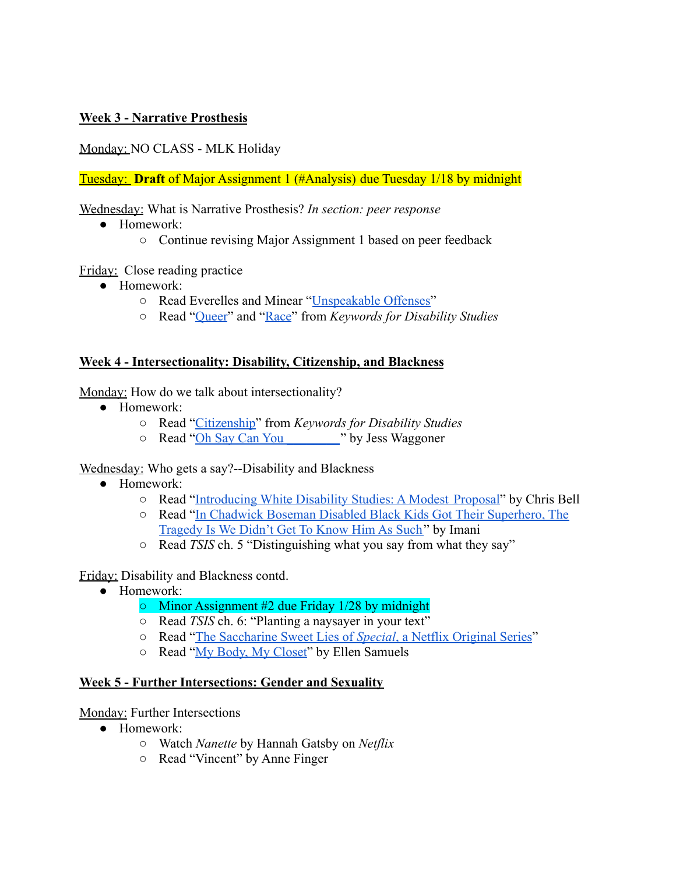### **Week 3 - Narrative Prosthesis**

Monday: NO CLASS - MLK Holiday

Tuesday: **Draft** of Major Assignment 1 (#Analysis) due Tuesday 1/18 by midnight

Wednesday: What is Narrative Prosthesis? *In section: peer response*

- Homework:
	- Continue revising Major Assignment 1 based on peer feedback

Friday: Close reading practice

- Homework:
	- Read Everelles and Minear "[Unspeakable Offenses](https://drive.google.com/file/d/1jpITLK3i5Sc-ckBuoknO-X8G6o8KivBv/view?usp=sharing)"
	- Read "[Queer](https://drive.google.com/file/d/1zd4LSXJHH_PjB3ONyDY9jl3-Yhzjv7hS/view?usp=sharing)" and ["Race](https://drive.google.com/file/d/1snIPgGMUtvIKv92CvQgDVAtEaLbx0KY6/view?usp=sharing)" from *Keywords for Disability Studies*

### **Week 4 - Intersectionality: Disability, Citizenship, and Blackness**

Monday: How do we talk about intersectionality?

- Homework:
	- Read "[Citizenship"](https://drive.google.com/file/d/1uBVhkAfQNWcPtZP0sBIxXskTBiBFF4j_/view?usp=sharing) from *Keywords for Disability Studies*
	- Read "[Oh Say Can You \\_\\_\\_\\_\\_\\_\\_\\_](https://drive.google.com/file/d/1seO79pJi3dWajCSfAdvJaK0pZ61e5ly6/view?usp=sharing)" by Jess Waggoner

Wednesday: Who gets a say?--Disability and Blackness

- Homework:
	- Read "[Introducing White Disability Studies: A Modest](https://drive.google.com/file/d/1UyvcHGeFL0UAGwoT2eg8PzbsfoBlAKuO/view?usp=sharing) Proposal" by Chris Bell
	- Read "[In Chadwick Boseman Disabled Black Kids Got](https://crutchesandspice.com/2020/08/29/in-chadwick-boseman-disabled-black-kids-got-their-superhero-the-tragedy-is-we-didnt-get-to-know-him-as-such/) Their Superhero, The [Tragedy Is We Didn't Get To Know Him As Such"](https://crutchesandspice.com/2020/08/29/in-chadwick-boseman-disabled-black-kids-got-their-superhero-the-tragedy-is-we-didnt-get-to-know-him-as-such/) by Imani
	- Read *TSIS* ch. 5 "Distinguishing what you say from what they say"

Friday: Disability and Blackness contd.

- Homework:
	- Minor Assignment #2 due Friday 1/28 by midnight
	- Read *TSIS* ch. 6: "Planting a naysayer in your text"
	- Read "[The Saccharine Sweet Lies of](https://disabilityvisibilityproject.com/2019/04/22/the-saccharine-sweet-lies-of-special-a-netflix-original-series/) *Special*, a Netflix Original Series"
	- Read "[My Body, My Closet](https://drive.google.com/file/d/1UKDEbbtkqOOG_0GQ0oCcgj2I9TtEWlre/view?usp=sharing)" by Ellen Samuels

### **Week 5 - Further Intersections: Gender and Sexuality**

Monday: Further Intersections

- Homework:
	- Watch *Nanette* by Hannah Gatsby on *Netflix*
	- Read "Vincent" by Anne Finger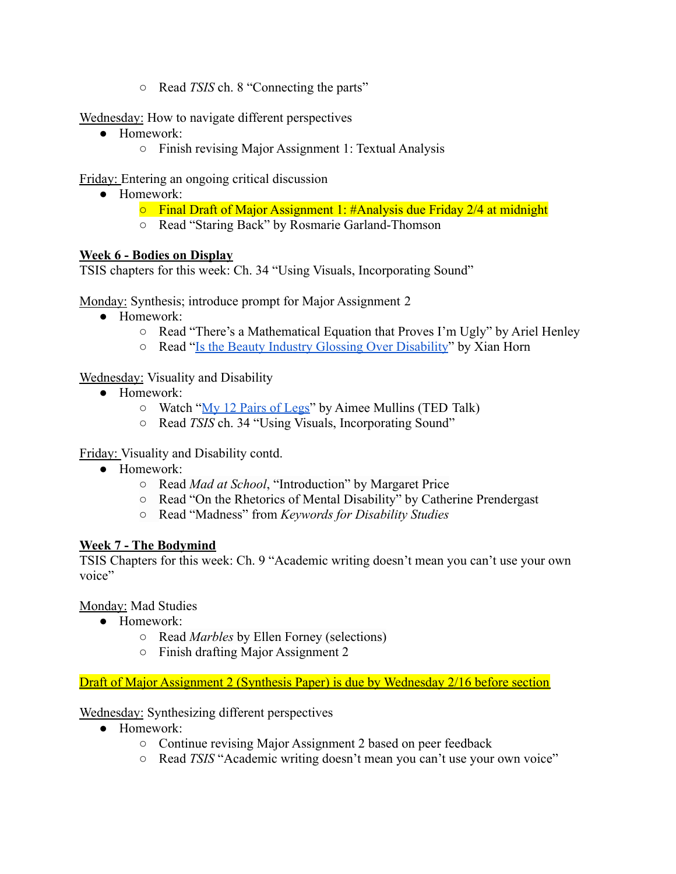○ Read *TSIS* ch. 8 "Connecting the parts"

Wednesday: How to navigate different perspectives

- Homework:
	- Finish revising Major Assignment 1: Textual Analysis

Friday: Entering an ongoing critical discussion

- Homework:
	- $\circ$  Final Draft of Major Assignment 1: #Analysis due Friday 2/4 at midnight
	- Read "Staring Back" by Rosmarie Garland-Thomson

### **Week 6 - Bodies on Display**

TSIS chapters for this week: Ch. 34 "Using Visuals, Incorporating Sound"

Monday: Synthesis; introduce prompt for Major Assignment 2

- Homework:
	- Read "There's a Mathematical Equation that Proves I'm Ugly" by Ariel Henley
	- Read "[Is the Beauty Industry Glossing Over Disability](https://www.allure.com/story/disability-inclusion-beauty-industry-advertising)" by Xian Horn

# Wednesday: Visuality and Disability

- Homework:
	- Watch "[My 12 Pairs of Legs"](https://www.ted.com/talks/aimee_mullins_my_12_pairs_of_legs?language=en) by Aimee Mullins (TED Talk)
	- Read *TSIS* ch. 34 "Using Visuals, Incorporating Sound"

Friday: Visuality and Disability contd.

- Homework:
	- Read *Mad at School*, "Introduction" by Margaret Price
	- Read "On the Rhetorics of Mental Disability" by Catherine Prendergast
	- Read "Madness" from *Keywords for Disability Studies*

### **Week 7 - The Bodymind**

TSIS Chapters for this week: Ch. 9 "Academic writing doesn't mean you can't use your own voice"

### Monday: Mad Studies

- Homework:
	- Read *Marbles* by Ellen Forney (selections)
	- Finish drafting Major Assignment 2

Draft of Major Assignment 2 (Synthesis Paper) is due by Wednesday 2/16 before section

# Wednesday: Synthesizing different perspectives

- Homework:
	- Continue revising Major Assignment 2 based on peer feedback
	- Read *TSIS* "Academic writing doesn't mean you can't use your own voice"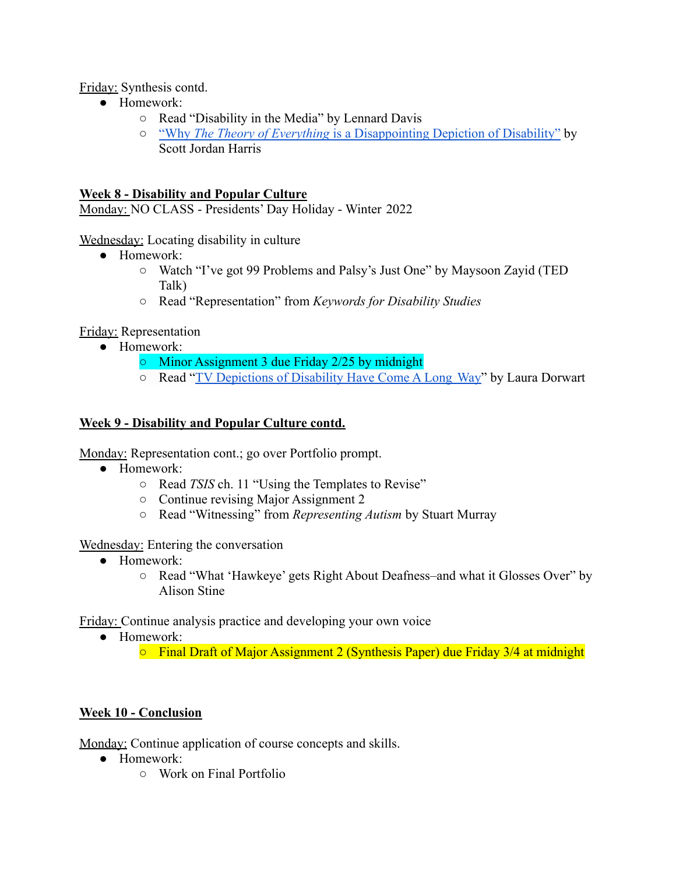Friday: Synthesis contd.

- Homework:
	- Read "Disability in the Media" by Lennard Davis
	- *○* "Why *The Theory of Everything* [is a Disappointing Depiction](https://slate.com/culture/2015/01/the-theory-of-everything-and-disability-why-eddie-redmayne-shouldnt-get-the-oscar-for-playing-stephen-hawking.html) of Disability" by Scott Jordan Harris

### **Week 8 - Disability and Popular Culture**

Monday: NO CLASS - Presidents' Day Holiday - Winter 2022

Wednesday: Locating disability in culture

- Homework:
	- Watch "I've got 99 Problems and Palsy's Just One" by Maysoon Zayid (TED Talk)
	- Read "Representation" from *Keywords for Disability Studies*

Friday: Representation

- Homework:
	- Minor Assignment 3 due Friday 2/25 by midnight
	- Read "[TV Depictions of Disability Have Come A Long](https://www.buzzfeednews.com/article/lauradorwart/tv-depictions-of-disability-have-come-a-long-way) Way" by Laura Dorwart

### **Week 9 - Disability and Popular Culture contd.**

Monday: Representation cont.; go over Portfolio prompt.

- Homework:
	- Read *TSIS* ch. 11 "Using the Templates to Revise"
	- Continue revising Major Assignment 2
	- Read "Witnessing" from *Representing Autism* by Stuart Murray

Wednesday: Entering the conversation

- Homework:
	- Read "What 'Hawkeye' gets Right About Deafness–and what it Glosses Over" by Alison Stine

Friday: Continue analysis practice and developing your own voice

● Homework:

○ Final Draft of Major Assignment 2 (Synthesis Paper) due Friday 3/4 at midnight

# **Week 10 - Conclusion**

Monday: Continue application of course concepts and skills.

- Homework:
	- Work on Final Portfolio